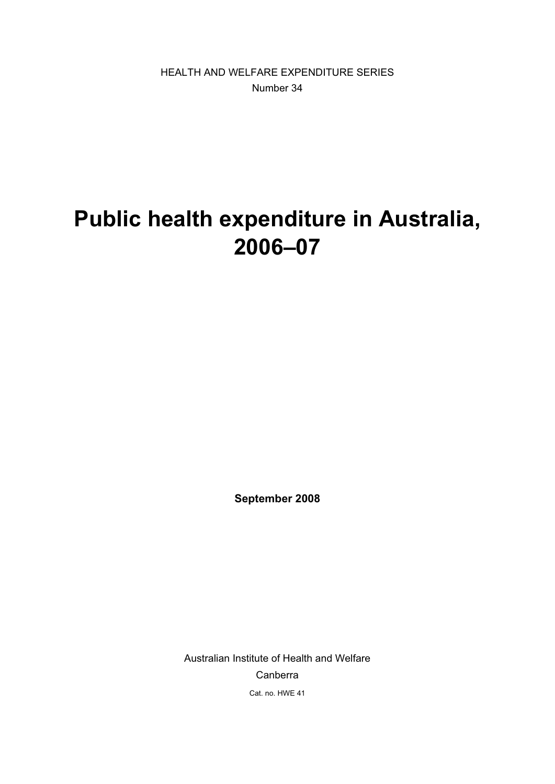HEALTH AND WELFARE EXPENDITURE SERIES Number 34

# **Public health expenditure in Australia, 2006–07**

**September 2008** 

Australian Institute of Health and Welfare Canberra Cat. no. HWE 41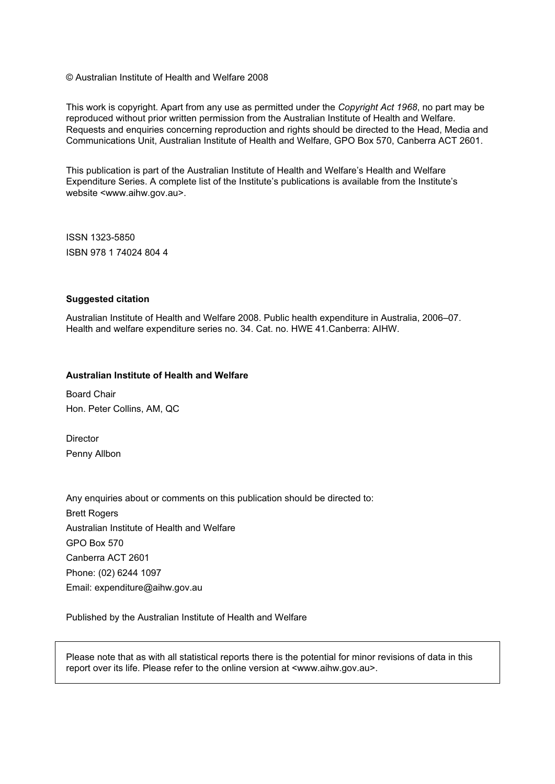© Australian Institute of Health and Welfare 2008

This work is copyright. Apart from any use as permitted under the *Copyright Act 1968*, no part may be reproduced without prior written permission from the Australian Institute of Health and Welfare. Requests and enquiries concerning reproduction and rights should be directed to the Head, Media and Communications Unit, Australian Institute of Health and Welfare, GPO Box 570, Canberra ACT 2601.

This publication is part of the Australian Institute of Health and Welfare's Health and Welfare Expenditure Series. A complete list of the Institute's publications is available from the Institute's website <www.aihw.gov.au>.

ISSN 1323-5850 ISBN 978 1 74024 804 4

#### **Suggested citation**

Australian Institute of Health and Welfare 2008. Public health expenditure in Australia, 2006–07. Health and welfare expenditure series no. 34. Cat. no. HWE 41.Canberra: AIHW.

#### **Australian Institute of Health and Welfare**

Board Chair Hon. Peter Collins, AM, QC

**Director** Penny Allbon

Any enquiries about or comments on this publication should be directed to: Brett Rogers Australian Institute of Health and Welfare GPO Box 570 Canberra ACT 2601 Phone: (02) 6244 1097 Email: expenditure@aihw.gov.au

Published by the Australian Institute of Health and Welfare

Please note that as with all statistical reports there is the potential for minor revisions of data in this report over its life. Please refer to the online version at <www.aihw.gov.au>.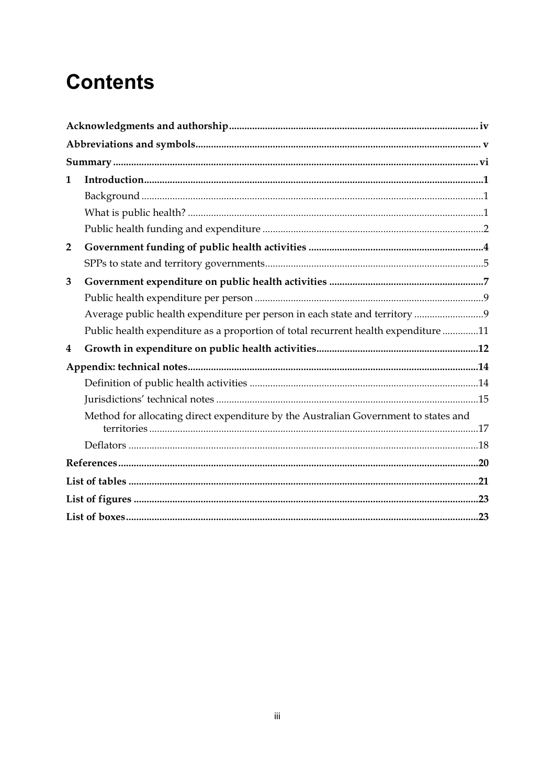# **Contents**

| $\mathbf{1}$   |                                                                                     |
|----------------|-------------------------------------------------------------------------------------|
|                |                                                                                     |
|                |                                                                                     |
|                |                                                                                     |
| $\overline{2}$ |                                                                                     |
|                |                                                                                     |
| 3              |                                                                                     |
|                |                                                                                     |
|                |                                                                                     |
|                | Public health expenditure as a proportion of total recurrent health expenditure 11  |
| 4              |                                                                                     |
|                |                                                                                     |
|                |                                                                                     |
|                |                                                                                     |
|                | Method for allocating direct expenditure by the Australian Government to states and |
|                |                                                                                     |
|                |                                                                                     |
|                |                                                                                     |
|                |                                                                                     |
|                |                                                                                     |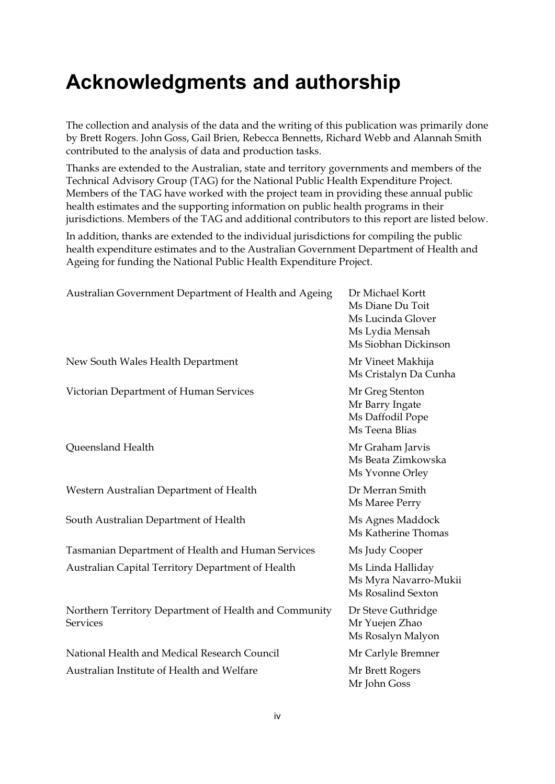## **Acknowledgments and authorship**

The collection and analysis of the data and the writing of this publication was primarily done by Brett Rogers. John Goss, Gail Brien, Rebecca Bennetts, Richard Webb and Alannah Smith contributed to the analysis of data and production tasks.

Thanks are extended to the Australian, state and territory governments and members of the Technical Advisory Group (TAG) for the National Public Health Expenditure Project. Members of the TAG have worked with the project team in providing these annual public health estimates and the supporting information on public health programs in their jurisdictions. Members of the TAG and additional contributors to this report are listed below.

In addition, thanks are extended to the individual jurisdictions for compiling the public health expenditure estimates and to the Australian Government Department of Health and Ageing for funding the National Public Health Expenditure Project.

| Australian Government Department of Health and Ageing                    | Dr Michael Kortt<br>Ms Diane Du Toit<br>Ms Lucinda Glover<br>Ms Lydia Mensah<br>Ms Siobhan Dickinson |
|--------------------------------------------------------------------------|------------------------------------------------------------------------------------------------------|
| New South Wales Health Department                                        | Mr Vineet Makhija<br>Ms Cristalyn Da Cunha                                                           |
| Victorian Department of Human Services                                   | Mr Greg Stenton<br>Mr Barry Ingate<br>Ms Daffodil Pope<br>Ms Teena Blias                             |
| Queensland Health                                                        | Mr Graham Jarvis<br>Ms Beata Zimkowska<br>Ms Yvonne Orley                                            |
| Western Australian Department of Health                                  | Dr Merran Smith<br>Ms Maree Perry                                                                    |
| South Australian Department of Health                                    | Ms Agnes Maddock<br>Ms Katherine Thomas                                                              |
| Tasmanian Department of Health and Human Services                        | Ms Judy Cooper                                                                                       |
| Australian Capital Territory Department of Health                        | Ms Linda Halliday<br>Ms Myra Navarro-Mukii<br>Ms Rosalind Sexton                                     |
| Northern Territory Department of Health and Community<br><b>Services</b> | Dr Steve Guthridge<br>Mr Yuejen Zhao<br>Ms Rosalyn Malyon                                            |
| National Health and Medical Research Council                             | Mr Carlyle Bremner                                                                                   |
| Australian Institute of Health and Welfare                               | Mr Brett Rogers<br>Mr John Goss                                                                      |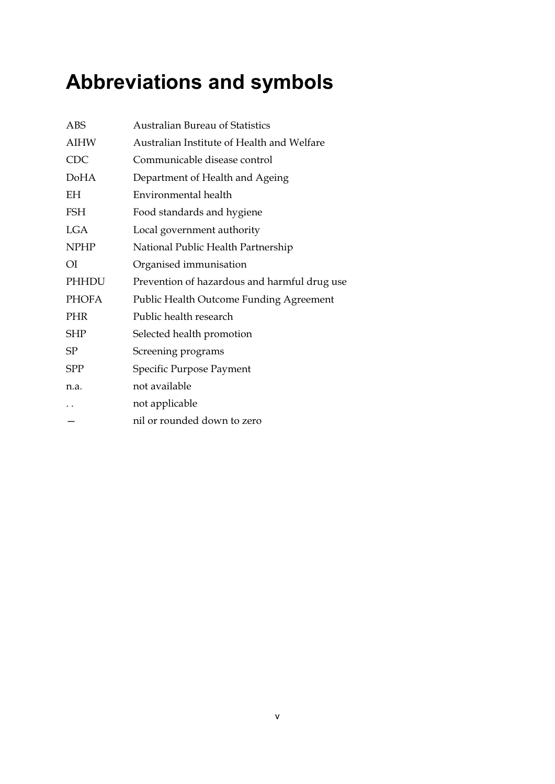# **Abbreviations and symbols**

| ABS                  | Australian Bureau of Statistics              |
|----------------------|----------------------------------------------|
| <b>AIHW</b>          | Australian Institute of Health and Welfare   |
| <b>CDC</b>           | Communicable disease control                 |
| <b>DoHA</b>          | Department of Health and Ageing              |
| ΕH                   | Environmental health                         |
| <b>FSH</b>           | Food standards and hygiene                   |
| <b>LGA</b>           | Local government authority                   |
| <b>NPHP</b>          | National Public Health Partnership           |
| O <sub>I</sub>       | Organised immunisation                       |
| PHHDU                | Prevention of hazardous and harmful drug use |
| <b>PHOFA</b>         | Public Health Outcome Funding Agreement      |
| <b>PHR</b>           | Public health research                       |
| <b>SHP</b>           | Selected health promotion                    |
| SP                   | Screening programs                           |
| SPP                  | Specific Purpose Payment                     |
| n.a.                 | not available                                |
| $\ddot{\phantom{0}}$ | not applicable                               |
|                      | nil or rounded down to zero                  |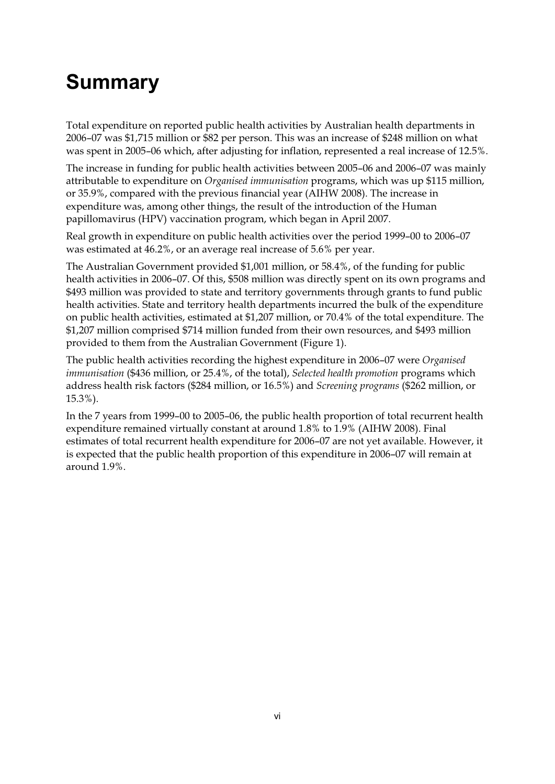# **Summary**

Total expenditure on reported public health activities by Australian health departments in 2006–07 was \$1,715 million or \$82 per person. This was an increase of \$248 million on what was spent in 2005–06 which, after adjusting for inflation, represented a real increase of 12.5%.

The increase in funding for public health activities between 2005–06 and 2006–07 was mainly attributable to expenditure on *Organised immunisation* programs, which was up \$115 million, or 35.9%, compared with the previous financial year (AIHW 2008). The increase in expenditure was, among other things, the result of the introduction of the Human papillomavirus (HPV) vaccination program, which began in April 2007.

Real growth in expenditure on public health activities over the period 1999–00 to 2006–07 was estimated at 46.2%, or an average real increase of 5.6% per year.

The Australian Government provided \$1,001 million, or 58.4%, of the funding for public health activities in 2006–07. Of this, \$508 million was directly spent on its own programs and \$493 million was provided to state and territory governments through grants to fund public health activities. State and territory health departments incurred the bulk of the expenditure on public health activities, estimated at \$1,207 million, or 70.4% of the total expenditure. The \$1,207 million comprised \$714 million funded from their own resources, and \$493 million provided to them from the Australian Government (Figure 1).

The public health activities recording the highest expenditure in 2006–07 were *Organised immunisation* (\$436 million, or 25.4%, of the total), *Selected health promotion* programs which address health risk factors (\$284 million, or 16.5%) and *Screening programs* (\$262 million, or 15.3%).

In the 7 years from 1999–00 to 2005–06, the public health proportion of total recurrent health expenditure remained virtually constant at around 1.8% to 1.9% (AIHW 2008). Final estimates of total recurrent health expenditure for 2006–07 are not yet available. However, it is expected that the public health proportion of this expenditure in 2006–07 will remain at around 1.9%.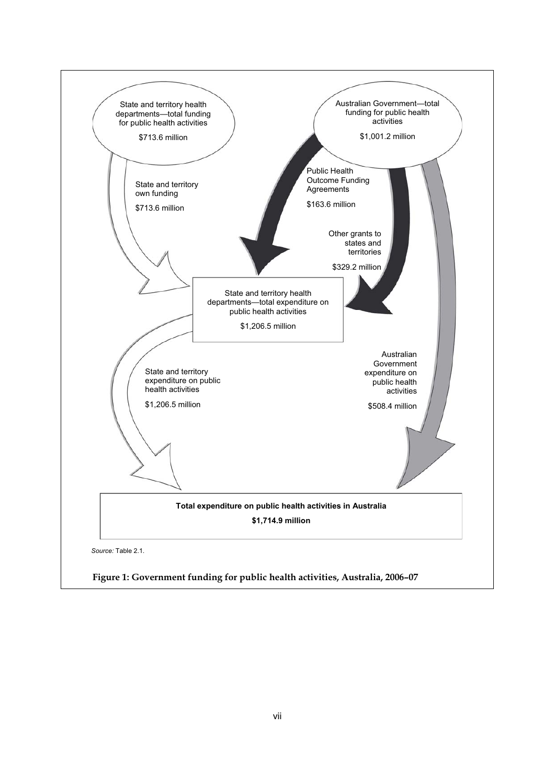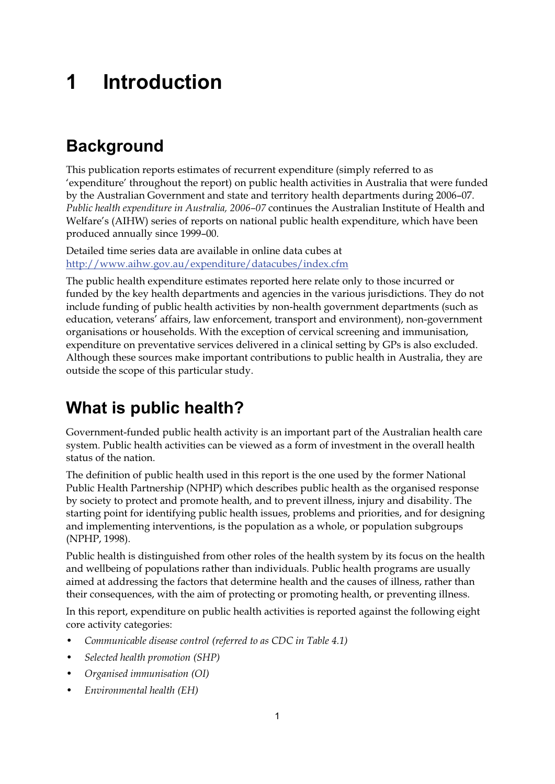## **1 Introduction**

## **Background**

This publication reports estimates of recurrent expenditure (simply referred to as 'expenditure' throughout the report) on public health activities in Australia that were funded by the Australian Government and state and territory health departments during 2006–07. *Public health expenditure in Australia, 2006–07* continues the Australian Institute of Health and Welfare's (AIHW) series of reports on national public health expenditure, which have been produced annually since 1999–00.

Detailed time series data are available in online data cubes at http://www.aihw.gov.au/expenditure/datacubes/index.cfm

The public health expenditure estimates reported here relate only to those incurred or funded by the key health departments and agencies in the various jurisdictions. They do not include funding of public health activities by non-health government departments (such as education, veterans' affairs, law enforcement, transport and environment), non-government organisations or households. With the exception of cervical screening and immunisation, expenditure on preventative services delivered in a clinical setting by GPs is also excluded. Although these sources make important contributions to public health in Australia, they are outside the scope of this particular study.

## **What is public health?**

Government-funded public health activity is an important part of the Australian health care system. Public health activities can be viewed as a form of investment in the overall health status of the nation.

The definition of public health used in this report is the one used by the former National Public Health Partnership (NPHP) which describes public health as the organised response by society to protect and promote health, and to prevent illness, injury and disability. The starting point for identifying public health issues, problems and priorities, and for designing and implementing interventions, is the population as a whole, or population subgroups (NPHP, 1998).

Public health is distinguished from other roles of the health system by its focus on the health and wellbeing of populations rather than individuals. Public health programs are usually aimed at addressing the factors that determine health and the causes of illness, rather than their consequences, with the aim of protecting or promoting health, or preventing illness.

In this report, expenditure on public health activities is reported against the following eight core activity categories:

- *Communicable disease control (referred to as CDC in Table 4.1)*
- *Selected health promotion (SHP)*
- *Organised immunisation (OI)*
- *Environmental health (EH)*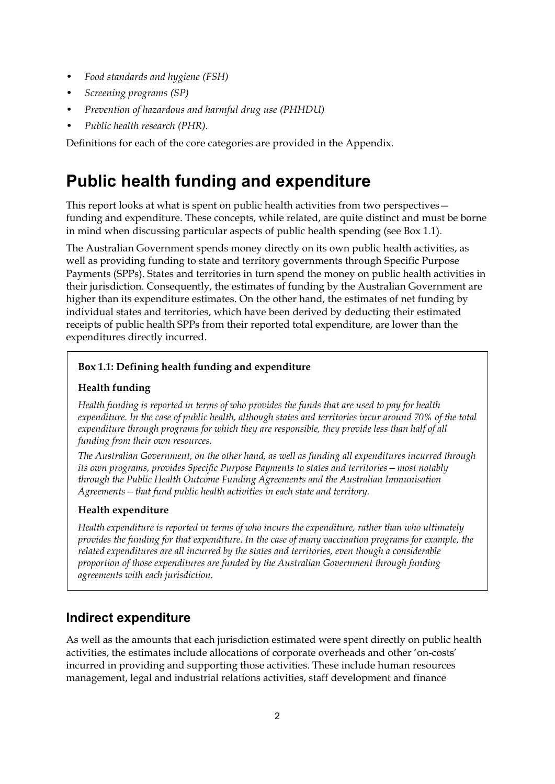- *Food standards and hygiene (FSH)*
- *Screening programs (SP)*
- *Prevention of hazardous and harmful drug use (PHHDU)*
- *Public health research (PHR).*

Definitions for each of the core categories are provided in the Appendix.

### **Public health funding and expenditure**

This report looks at what is spent on public health activities from two perspectives funding and expenditure. These concepts, while related, are quite distinct and must be borne in mind when discussing particular aspects of public health spending (see Box 1.1).

The Australian Government spends money directly on its own public health activities, as well as providing funding to state and territory governments through Specific Purpose Payments (SPPs). States and territories in turn spend the money on public health activities in their jurisdiction. Consequently, the estimates of funding by the Australian Government are higher than its expenditure estimates. On the other hand, the estimates of net funding by individual states and territories, which have been derived by deducting their estimated receipts of public health SPPs from their reported total expenditure, are lower than the expenditures directly incurred.

#### **Box 1.1: Defining health funding and expenditure**

#### **Health funding**

*Health funding is reported in terms of who provides the funds that are used to pay for health expenditure. In the case of public health, although states and territories incur around 70% of the total expenditure through programs for which they are responsible, they provide less than half of all funding from their own resources.* 

*The Australian Government, on the other hand, as well as funding all expenditures incurred through its own programs, provides Specific Purpose Payments to states and territories—most notably through the Public Health Outcome Funding Agreements and the Australian Immunisation Agreements—that fund public health activities in each state and territory.* 

#### **Health expenditure**

*Health expenditure is reported in terms of who incurs the expenditure, rather than who ultimately provides the funding for that expenditure. In the case of many vaccination programs for example, the related expenditures are all incurred by the states and territories, even though a considerable proportion of those expenditures are funded by the Australian Government through funding agreements with each jurisdiction.* 

#### **Indirect expenditure**

As well as the amounts that each jurisdiction estimated were spent directly on public health activities, the estimates include allocations of corporate overheads and other 'on-costs' incurred in providing and supporting those activities. These include human resources management, legal and industrial relations activities, staff development and finance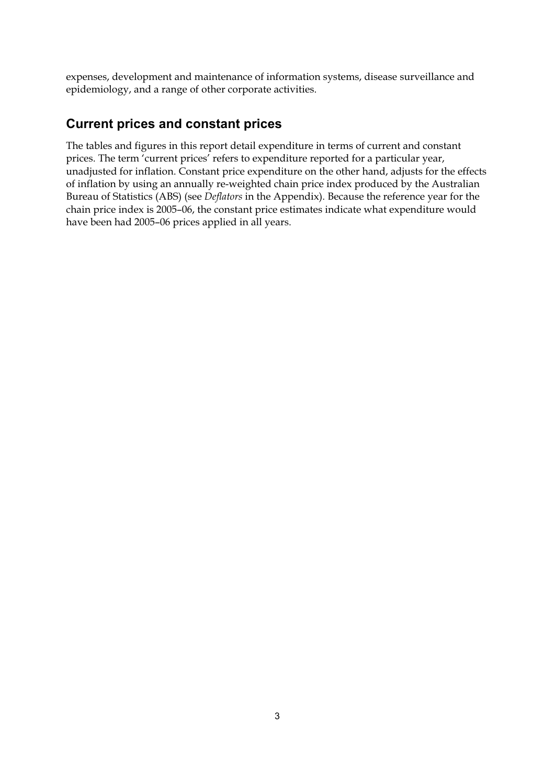expenses, development and maintenance of information systems, disease surveillance and epidemiology, and a range of other corporate activities.

### **Current prices and constant prices**

The tables and figures in this report detail expenditure in terms of current and constant prices. The term 'current prices' refers to expenditure reported for a particular year, unadjusted for inflation. Constant price expenditure on the other hand, adjusts for the effects of inflation by using an annually re-weighted chain price index produced by the Australian Bureau of Statistics (ABS) (see *Deflators* in the Appendix). Because the reference year for the chain price index is 2005–06, the constant price estimates indicate what expenditure would have been had 2005–06 prices applied in all years.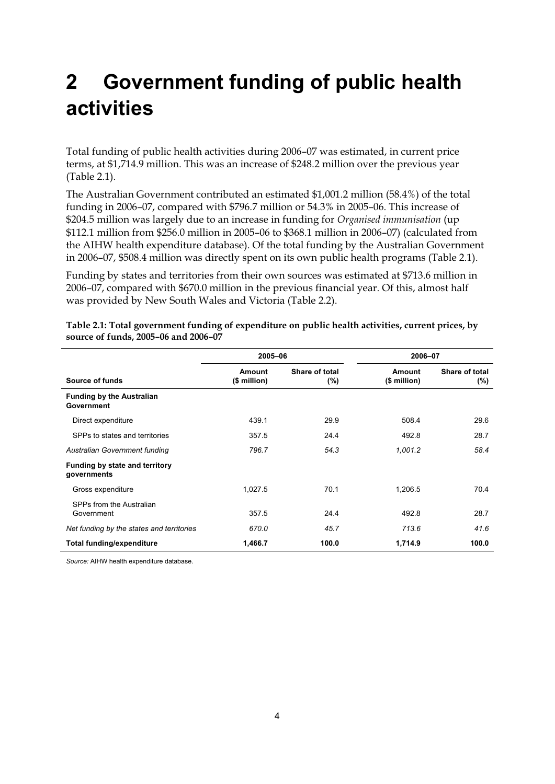## **2 Government funding of public health activities**

Total funding of public health activities during 2006–07 was estimated, in current price terms, at \$1,714.9 million. This was an increase of \$248.2 million over the previous year (Table 2.1).

The Australian Government contributed an estimated \$1,001.2 million (58.4%) of the total funding in 2006–07, compared with \$796.7 million or 54.3% in 2005–06. This increase of \$204.5 million was largely due to an increase in funding for *Organised immunisation* (up \$112.1 million from \$256.0 million in 2005–06 to \$368.1 million in 2006–07) (calculated from the AIHW health expenditure database). Of the total funding by the Australian Government in 2006–07, \$508.4 million was directly spent on its own public health programs (Table 2.1).

Funding by states and territories from their own sources was estimated at \$713.6 million in 2006–07, compared with \$670.0 million in the previous financial year. Of this, almost half was provided by New South Wales and Victoria (Table 2.2).

|                                                | 2005-06                |                       | 2006-07                |                           |  |
|------------------------------------------------|------------------------|-----------------------|------------------------|---------------------------|--|
| Source of funds                                | Amount<br>$$$ million) | Share of total<br>(%) | Amount<br>$$$ million) | Share of total<br>$(\% )$ |  |
| <b>Funding by the Australian</b><br>Government |                        |                       |                        |                           |  |
| Direct expenditure                             | 439.1                  | 29.9                  | 508.4                  | 29.6                      |  |
| SPPs to states and territories                 | 357.5                  | 24.4                  | 492.8                  | 28.7                      |  |
| Australian Government funding                  | 796.7                  | 54.3                  | 1,001.2                | 58.4                      |  |
| Funding by state and territory<br>governments  |                        |                       |                        |                           |  |
| Gross expenditure                              | 1,027.5                | 70.1                  | 1,206.5                | 70.4                      |  |
| SPPs from the Australian<br>Government         | 357.5                  | 24.4                  | 492.8                  | 28.7                      |  |
| Net funding by the states and territories      | 670.0                  | 45.7                  | 713.6                  | 41.6                      |  |
| <b>Total funding/expenditure</b>               | 1,466.7                | 100.0                 | 1,714.9                | 100.0                     |  |

**Table 2.1: Total government funding of expenditure on public health activities, current prices, by source of funds, 2005–06 and 2006–07**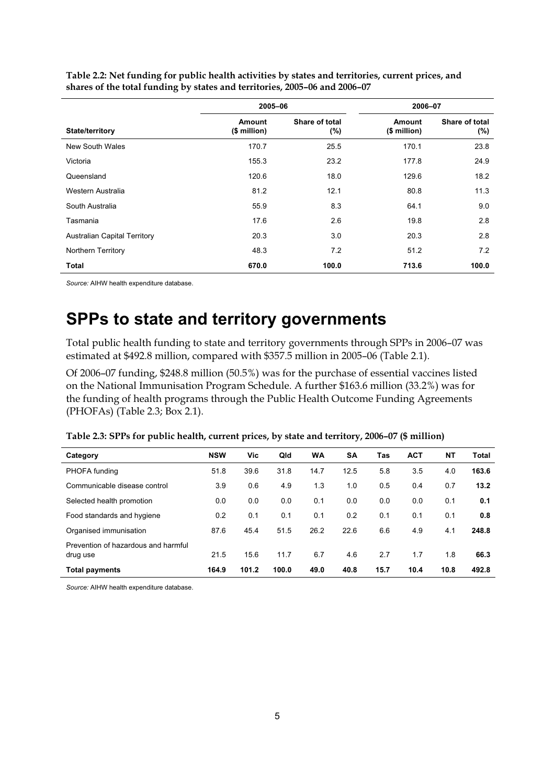|                                     | 2005-06                       |                       |                        | 2006-07               |
|-------------------------------------|-------------------------------|-----------------------|------------------------|-----------------------|
| State/territory                     | <b>Amount</b><br>(\$ million) | Share of total<br>(%) | Amount<br>(\$ million) | Share of total<br>(%) |
| New South Wales                     | 170.7                         | 25.5                  | 170.1                  | 23.8                  |
| Victoria                            | 155.3                         | 23.2                  | 177.8                  | 24.9                  |
| Queensland                          | 120.6                         | 18.0                  | 129.6                  | 18.2                  |
| Western Australia                   | 81.2                          | 12.1                  | 80.8                   | 11.3                  |
| South Australia                     | 55.9                          | 8.3                   | 64.1                   | 9.0                   |
| Tasmania                            | 17.6                          | 2.6                   | 19.8                   | 2.8                   |
| <b>Australian Capital Territory</b> | 20.3                          | 3.0                   | 20.3                   | 2.8                   |
| Northern Territory                  | 48.3                          | 7.2                   | 51.2                   | 7.2                   |
| Total                               | 670.0                         | 100.0                 | 713.6                  | 100.0                 |

**Table 2.2: Net funding for public health activities by states and territories, current prices, and shares of the total funding by states and territories, 2005–06 and 2006–07** 

*Source:* AIHW health expenditure database.

### **SPPs to state and territory governments**

Total public health funding to state and territory governments through SPPs in 2006–07 was estimated at \$492.8 million, compared with \$357.5 million in 2005–06 (Table 2.1).

Of 2006–07 funding, \$248.8 million (50.5%) was for the purchase of essential vaccines listed on the National Immunisation Program Schedule. A further \$163.6 million (33.2%) was for the funding of health programs through the Public Health Outcome Funding Agreements (PHOFAs) (Table 2.3; Box 2.1).

| Category                                        | <b>NSW</b> | Vic   | Qld   | <b>WA</b> | <b>SA</b> | Tas  | <b>ACT</b> | NΤ   | Total |
|-------------------------------------------------|------------|-------|-------|-----------|-----------|------|------------|------|-------|
| PHOFA funding                                   | 51.8       | 39.6  | 31.8  | 14.7      | 12.5      | 5.8  | 3.5        | 4.0  | 163.6 |
| Communicable disease control                    | 3.9        | 0.6   | 4.9   | 1.3       | 1.0       | 0.5  | 0.4        | 0.7  | 13.2  |
| Selected health promotion                       | 0.0        | 0.0   | 0.0   | 0.1       | 0.0       | 0.0  | 0.0        | 0.1  | 0.1   |
| Food standards and hygiene                      | 0.2        | 0.1   | 0.1   | 0.1       | 0.2       | 0.1  | 0.1        | 0.1  | 0.8   |
| Organised immunisation                          | 87.6       | 45.4  | 51.5  | 26.2      | 22.6      | 6.6  | 4.9        | 4.1  | 248.8 |
| Prevention of hazardous and harmful<br>drug use | 21.5       | 15.6  | 11.7  | 6.7       | 4.6       | 2.7  | 1.7        | 1.8  | 66.3  |
| <b>Total payments</b>                           | 164.9      | 101.2 | 100.0 | 49.0      | 40.8      | 15.7 | 10.4       | 10.8 | 492.8 |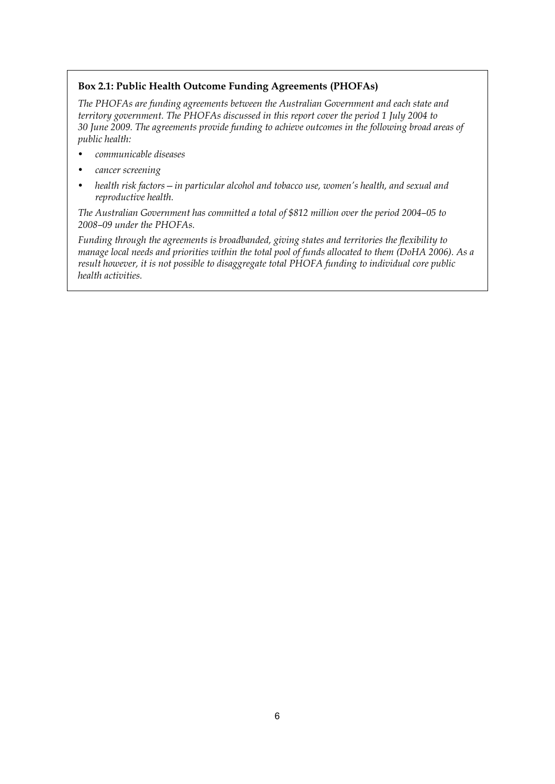#### **Box 2.1: Public Health Outcome Funding Agreements (PHOFAs)**

*The PHOFAs are funding agreements between the Australian Government and each state and territory government. The PHOFAs discussed in this report cover the period 1 July 2004 to 30 June 2009. The agreements provide funding to achieve outcomes in the following broad areas of public health:* 

- *communicable diseases*
- *cancer screening*
- *health risk factors—in particular alcohol and tobacco use, women's health, and sexual and reproductive health.*

*The Australian Government has committed a total of \$812 million over the period 2004–05 to 2008–09 under the PHOFAs.* 

*Funding through the agreements is broadbanded, giving states and territories the flexibility to manage local needs and priorities within the total pool of funds allocated to them (DoHA 2006). As a result however, it is not possible to disaggregate total PHOFA funding to individual core public health activities.*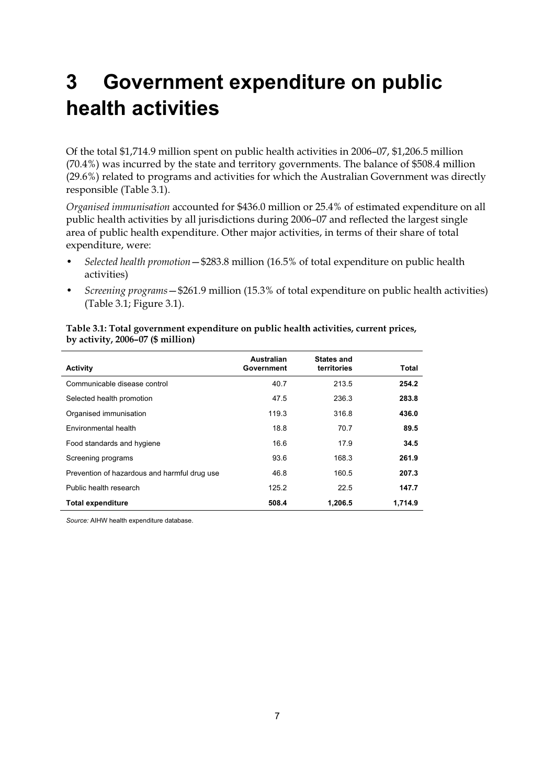## **3 Government expenditure on public health activities**

Of the total \$1,714.9 million spent on public health activities in 2006–07, \$1,206.5 million (70.4%) was incurred by the state and territory governments. The balance of \$508.4 million (29.6%) related to programs and activities for which the Australian Government was directly responsible (Table 3.1).

*Organised immunisation* accounted for \$436.0 million or 25.4% of estimated expenditure on all public health activities by all jurisdictions during 2006–07 and reflected the largest single area of public health expenditure. Other major activities, in terms of their share of total expenditure, were:

- *Selected health promotion*—\$283.8 million (16.5% of total expenditure on public health activities)
- *Screening programs*—\$261.9 million (15.3% of total expenditure on public health activities) (Table 3.1; Figure 3.1).

|                                              | Australian | <b>States and</b> |         |
|----------------------------------------------|------------|-------------------|---------|
| <b>Activity</b>                              | Government | territories       | Total   |
| Communicable disease control                 | 40.7       | 213.5             | 254.2   |
| Selected health promotion                    | 47.5       | 236.3             | 283.8   |
| Organised immunisation                       | 119.3      | 316.8             | 436.0   |
| Environmental health                         | 18.8       | 70.7              | 89.5    |
| Food standards and hygiene                   | 16.6       | 17.9              | 34.5    |
| Screening programs                           | 93.6       | 168.3             | 261.9   |
| Prevention of hazardous and harmful drug use | 46.8       | 160.5             | 207.3   |
| Public health research                       | 125.2      | 22.5              | 147.7   |
| <b>Total expenditure</b>                     | 508.4      | 1.206.5           | 1.714.9 |

#### **Table 3.1: Total government expenditure on public health activities, current prices, by activity, 2006–07 (\$ million)**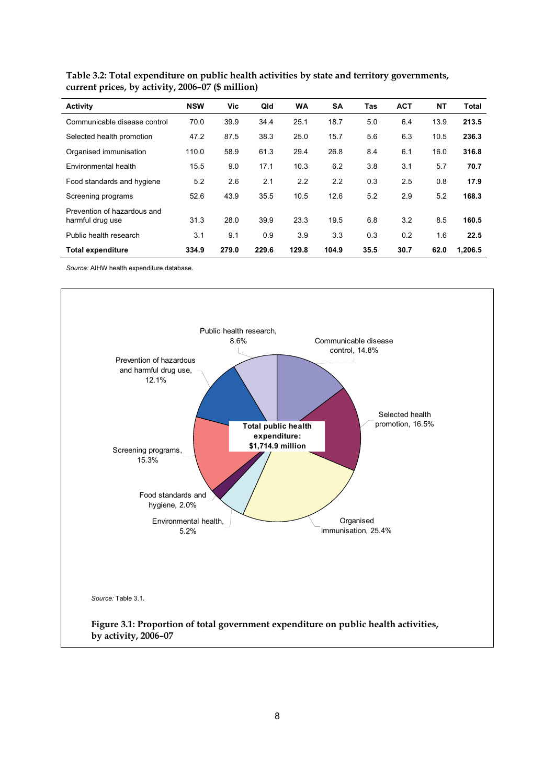| Activity                                        | <b>NSW</b> | <b>Vic</b> | Qld   | <b>WA</b> | <b>SA</b> | Tas  | <b>ACT</b> | <b>NT</b> | <b>Total</b> |
|-------------------------------------------------|------------|------------|-------|-----------|-----------|------|------------|-----------|--------------|
| Communicable disease control                    | 70.0       | 39.9       | 34.4  | 25.1      | 18.7      | 5.0  | 6.4        | 13.9      | 213.5        |
| Selected health promotion                       | 47.2       | 87.5       | 38.3  | 25.0      | 15.7      | 5.6  | 6.3        | 10.5      | 236.3        |
| Organised immunisation                          | 110.0      | 58.9       | 61.3  | 29.4      | 26.8      | 8.4  | 6.1        | 16.0      | 316.8        |
| Environmental health                            | 15.5       | 9.0        | 17.1  | 10.3      | 6.2       | 3.8  | 3.1        | 5.7       | 70.7         |
| Food standards and hygiene                      | 5.2        | 2.6        | 2.1   | 2.2       | 2.2       | 0.3  | 2.5        | 0.8       | 17.9         |
| Screening programs                              | 52.6       | 43.9       | 35.5  | 10.5      | 12.6      | 5.2  | 2.9        | 5.2       | 168.3        |
| Prevention of hazardous and<br>harmful drug use | 31.3       | 28.0       | 39.9  | 23.3      | 19.5      | 6.8  | 3.2        | 8.5       | 160.5        |
| Public health research                          | 3.1        | 9.1        | 0.9   | 3.9       | 3.3       | 0.3  | 0.2        | 1.6       | 22.5         |
| <b>Total expenditure</b>                        | 334.9      | 279.0      | 229.6 | 129.8     | 104.9     | 35.5 | 30.7       | 62.0      | 1.206.5      |

**Table 3.2: Total expenditure on public health activities by state and territory governments, current prices, by activity, 2006–07 (\$ million)** 

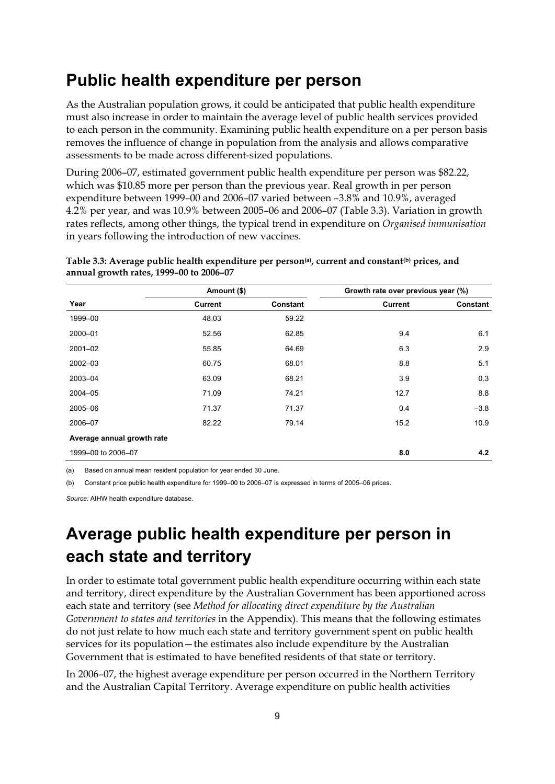### **Public health expenditure per person**

As the Australian population grows, it could be anticipated that public health expenditure must also increase in order to maintain the average level of public health services provided to each person in the community. Examining public health expenditure on a per person basis removes the influence of change in population from the analysis and allows comparative assessments to be made across different-sized populations.

During 2006–07, estimated government public health expenditure per person was \$82.22, which was \$10.85 more per person than the previous year. Real growth in per person expenditure between 1999–00 and 2006–07 varied between –3.8% and 10.9%, averaged 4.2% per year, and was 10.9% between 2005–06 and 2006–07 (Table 3.3). Variation in growth rates reflects, among other things, the typical trend in expenditure on *Organised immunisation* in years following the introduction of new vaccines.

|                            | Amount (\$)    |                 | Growth rate over previous year (%) |                 |
|----------------------------|----------------|-----------------|------------------------------------|-----------------|
| Year                       | <b>Current</b> | <b>Constant</b> | <b>Current</b>                     | <b>Constant</b> |
| 1999-00                    | 48.03          | 59.22           |                                    |                 |
| 2000-01                    | 52.56          | 62.85           | 9.4                                | 6.1             |
| $2001 - 02$                | 55.85          | 64.69           | 6.3                                | 2.9             |
| $2002 - 03$                | 60.75          | 68.01           | 8.8                                | 5.1             |
| 2003-04                    | 63.09          | 68.21           | 3.9                                | 0.3             |
| 2004-05                    | 71.09          | 74.21           | 12.7                               | 8.8             |
| 2005-06                    | 71.37          | 71.37           | 0.4                                | $-3.8$          |
| 2006-07                    | 82.22          | 79.14           | 15.2                               | 10.9            |
| Average annual growth rate |                |                 |                                    |                 |
| 1999-00 to 2006-07         |                |                 | 8.0                                | 4.2             |

Table 3.3: Average public health expenditure per person<sup>(a)</sup>, current and constant<sup>(b)</sup> prices, and **annual growth rates, 1999–00 to 2006–07** 

(a) Based on annual mean resident population for year ended 30 June.

(b) Constant price public health expenditure for 1999–00 to 2006–07 is expressed in terms of 2005–06 prices.

*Source:* AIHW health expenditure database.

### **Average public health expenditure per person in each state and territory**

In order to estimate total government public health expenditure occurring within each state and territory, direct expenditure by the Australian Government has been apportioned across each state and territory (see *Method for allocating direct expenditure by the Australian Government to states and territories* in the Appendix). This means that the following estimates do not just relate to how much each state and territory government spent on public health services for its population—the estimates also include expenditure by the Australian Government that is estimated to have benefited residents of that state or territory.

In 2006–07, the highest average expenditure per person occurred in the Northern Territory and the Australian Capital Territory. Average expenditure on public health activities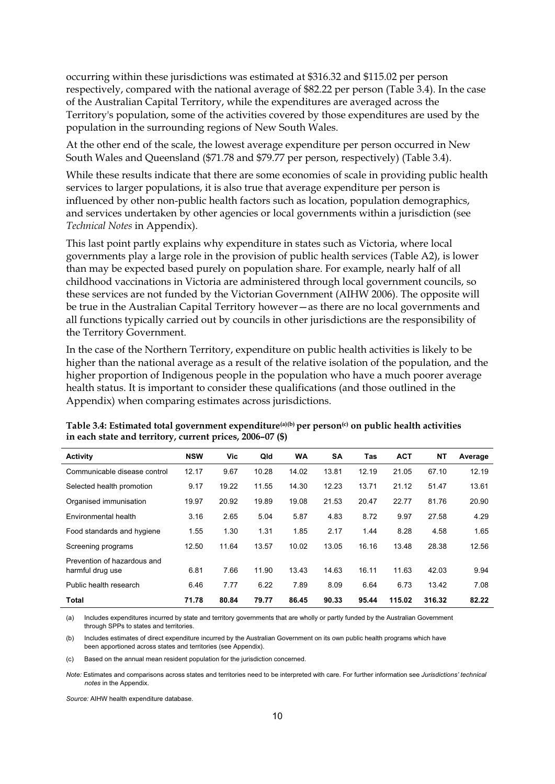occurring within these jurisdictions was estimated at \$316.32 and \$115.02 per person respectively, compared with the national average of \$82.22 per person (Table 3.4). In the case of the Australian Capital Territory, while the expenditures are averaged across the Territory's population, some of the activities covered by those expenditures are used by the population in the surrounding regions of New South Wales.

At the other end of the scale, the lowest average expenditure per person occurred in New South Wales and Queensland (\$71.78 and \$79.77 per person, respectively) (Table 3.4).

While these results indicate that there are some economies of scale in providing public health services to larger populations, it is also true that average expenditure per person is influenced by other non-public health factors such as location, population demographics, and services undertaken by other agencies or local governments within a jurisdiction (see *Technical Notes* in Appendix).

This last point partly explains why expenditure in states such as Victoria, where local governments play a large role in the provision of public health services (Table A2), is lower than may be expected based purely on population share. For example, nearly half of all childhood vaccinations in Victoria are administered through local government councils, so these services are not funded by the Victorian Government (AIHW 2006). The opposite will be true in the Australian Capital Territory however—as there are no local governments and all functions typically carried out by councils in other jurisdictions are the responsibility of the Territory Government.

In the case of the Northern Territory, expenditure on public health activities is likely to be higher than the national average as a result of the relative isolation of the population, and the higher proportion of Indigenous people in the population who have a much poorer average health status. It is important to consider these qualifications (and those outlined in the Appendix) when comparing estimates across jurisdictions.

| <b>Activity</b>              | <b>NSW</b> | <b>Vic</b> | Qld   | <b>WA</b> | SA    | Tas   | <b>ACT</b> | <b>NT</b> | Average |
|------------------------------|------------|------------|-------|-----------|-------|-------|------------|-----------|---------|
| Communicable disease control | 12.17      | 9.67       | 10.28 | 14.02     | 13.81 | 12.19 | 21.05      | 67.10     | 12.19   |
| Selected health promotion    | 9.17       | 19.22      | 11.55 | 14.30     | 12.23 | 13.71 | 21.12      | 51.47     | 13.61   |
| Organised immunisation       | 19.97      | 20.92      | 19.89 | 19.08     | 21.53 | 20.47 | 22.77      | 81.76     | 20.90   |
| Environmental health         | 3.16       | 2.65       | 5.04  | 5.87      | 4.83  | 8.72  | 9.97       | 27.58     | 4.29    |
| Food standards and hygiene   | 1.55       | 1.30       | 1.31  | 1.85      | 2.17  | 1.44  | 8.28       | 4.58      | 1.65    |
| Screening programs           | 12.50      | 11.64      | 13.57 | 10.02     | 13.05 | 16.16 | 13.48      | 28.38     | 12.56   |
| Prevention of hazardous and  |            |            |       |           |       |       |            |           |         |
| harmful drug use             | 6.81       | 7.66       | 11.90 | 13.43     | 14.63 | 16.11 | 11.63      | 42.03     | 9.94    |
| Public health research       | 6.46       | 7.77       | 6.22  | 7.89      | 8.09  | 6.64  | 6.73       | 13.42     | 7.08    |
| <b>Total</b>                 | 71.78      | 80.84      | 79.77 | 86.45     | 90.33 | 95.44 | 115.02     | 316.32    | 82.22   |

**Table 3.4: Estimated total government expenditure(a)(b) per person(c) on public health activities in each state and territory, current prices, 2006–07 (\$)** 

(a) Includes expenditures incurred by state and territory governments that are wholly or partly funded by the Australian Government through SPPs to states and territories.

(b) Includes estimates of direct expenditure incurred by the Australian Government on its own public health programs which have been apportioned across states and territories (see Appendix).

(c) Based on the annual mean resident population for the jurisdiction concerned.

*Note:* Estimates and comparisons across states and territories need to be interpreted with care. For further information see *Jurisdictions' technical notes* in the Appendix.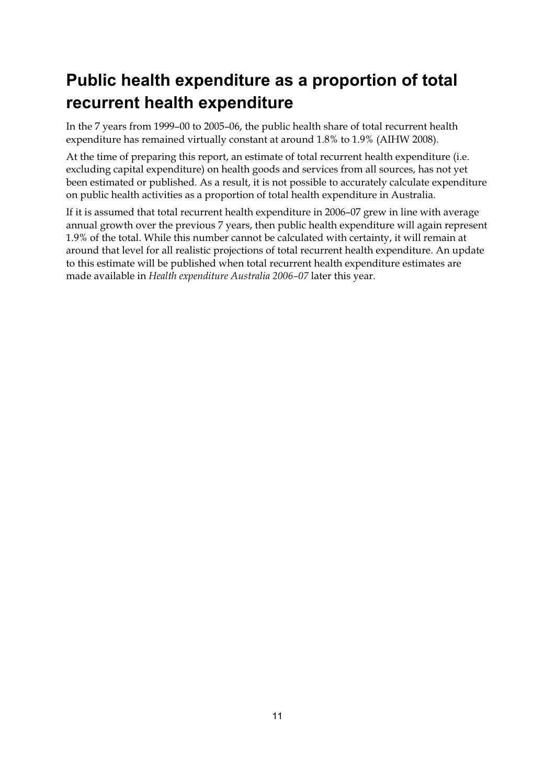## **Public health expenditure as a proportion of total recurrent health expenditure**

In the 7 years from 1999–00 to 2005–06, the public health share of total recurrent health expenditure has remained virtually constant at around 1.8% to 1.9% (AIHW 2008).

At the time of preparing this report, an estimate of total recurrent health expenditure (i.e. excluding capital expenditure) on health goods and services from all sources, has not yet been estimated or published. As a result, it is not possible to accurately calculate expenditure on public health activities as a proportion of total health expenditure in Australia.

If it is assumed that total recurrent health expenditure in 2006–07 grew in line with average annual growth over the previous 7 years, then public health expenditure will again represent 1.9% of the total. While this number cannot be calculated with certainty, it will remain at around that level for all realistic projections of total recurrent health expenditure. An update to this estimate will be published when total recurrent health expenditure estimates are made available in *Health expenditure Australia 2006–07* later this year.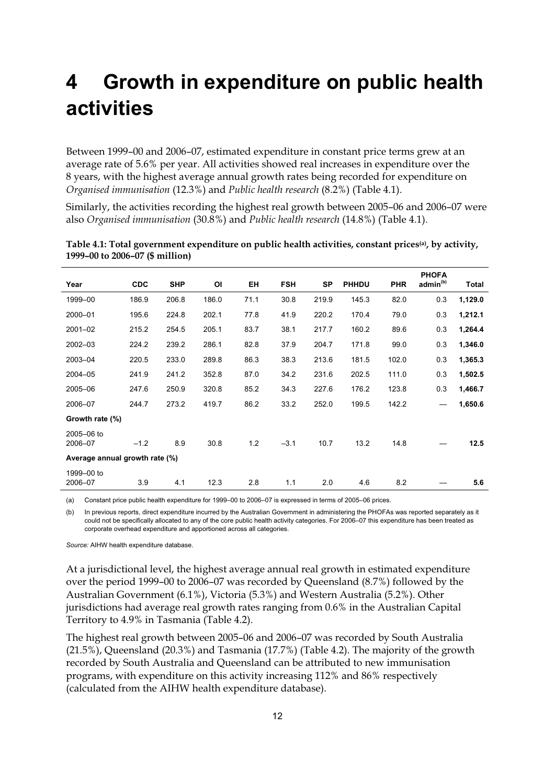## **4 Growth in expenditure on public health activities**

Between 1999–00 and 2006–07, estimated expenditure in constant price terms grew at an average rate of 5.6% per year. All activities showed real increases in expenditure over the 8 years, with the highest average annual growth rates being recorded for expenditure on *Organised immunisation* (12.3%) and *Public health research* (8.2%) (Table 4.1).

Similarly, the activities recording the highest real growth between 2005–06 and 2006–07 were also *Organised immunisation* (30.8%) and *Public health research* (14.8%) (Table 4.1).

|                                |            |            |       |      |            |           |              |            | <b>PHOFA</b>         |         |
|--------------------------------|------------|------------|-------|------|------------|-----------|--------------|------------|----------------------|---------|
| Year                           | <b>CDC</b> | <b>SHP</b> | ΟI    | EH   | <b>FSH</b> | <b>SP</b> | <b>PHHDU</b> | <b>PHR</b> | admin <sup>(b)</sup> | Total   |
| 1999-00                        | 186.9      | 206.8      | 186.0 | 71.1 | 30.8       | 219.9     | 145.3        | 82.0       | 0.3                  | 1,129.0 |
| 2000-01                        | 195.6      | 224.8      | 202.1 | 77.8 | 41.9       | 220.2     | 170.4        | 79.0       | 0.3                  | 1,212.1 |
| $2001 - 02$                    | 215.2      | 254.5      | 205.1 | 83.7 | 38.1       | 217.7     | 160.2        | 89.6       | 0.3                  | 1,264.4 |
| $2002 - 03$                    | 224.2      | 239.2      | 286.1 | 82.8 | 37.9       | 204.7     | 171.8        | 99.0       | 0.3                  | 1,346.0 |
| 2003-04                        | 220.5      | 233.0      | 289.8 | 86.3 | 38.3       | 213.6     | 181.5        | 102.0      | 0.3                  | 1,365.3 |
| 2004-05                        | 241.9      | 241.2      | 352.8 | 87.0 | 34.2       | 231.6     | 202.5        | 111.0      | 0.3                  | 1,502.5 |
| 2005-06                        | 247.6      | 250.9      | 320.8 | 85.2 | 34.3       | 227.6     | 176.2        | 123.8      | 0.3                  | 1,466.7 |
| 2006-07                        | 244.7      | 273.2      | 419.7 | 86.2 | 33.2       | 252.0     | 199.5        | 142.2      |                      | 1,650.6 |
| Growth rate (%)                |            |            |       |      |            |           |              |            |                      |         |
| 2005-06 to<br>2006-07          | $-1.2$     | 8.9        | 30.8  | 1.2  | $-3.1$     | 10.7      | 13.2         | 14.8       |                      | 12.5    |
| Average annual growth rate (%) |            |            |       |      |            |           |              |            |                      |         |
| 1999-00 to<br>2006-07          | 3.9        | 4.1        | 12.3  | 2.8  | 1.1        | 2.0       | 4.6          | 8.2        |                      | 5.6     |

**Table 4.1: Total government expenditure on public health activities, constant prices(a), by activity, 1999–00 to 2006–07 (\$ million)** 

(a) Constant price public health expenditure for 1999–00 to 2006–07 is expressed in terms of 2005–06 prices.

(b) In previous reports, direct expenditure incurred by the Australian Government in administering the PHOFAs was reported separately as it could not be specifically allocated to any of the core public health activity categories. For 2006–07 this expenditure has been treated as corporate overhead expenditure and apportioned across all categories.

*Source:* AIHW health expenditure database.

At a jurisdictional level, the highest average annual real growth in estimated expenditure over the period 1999–00 to 2006–07 was recorded by Queensland (8.7%) followed by the Australian Government (6.1%), Victoria (5.3%) and Western Australia (5.2%). Other jurisdictions had average real growth rates ranging from 0.6% in the Australian Capital Territory to 4.9% in Tasmania (Table 4.2).

The highest real growth between 2005–06 and 2006–07 was recorded by South Australia (21.5%), Queensland (20.3%) and Tasmania (17.7%) (Table 4.2). The majority of the growth recorded by South Australia and Queensland can be attributed to new immunisation programs, with expenditure on this activity increasing 112% and 86% respectively (calculated from the AIHW health expenditure database).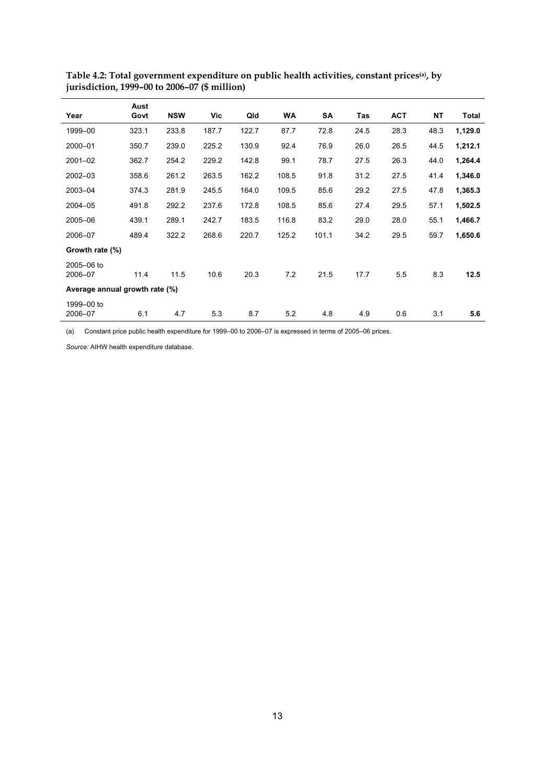| Year                           | Aust<br>Govt | <b>NSW</b> | Vic   | Qld   | <b>WA</b> | SA    | Tas  | <b>ACT</b> | NΤ   | Total   |
|--------------------------------|--------------|------------|-------|-------|-----------|-------|------|------------|------|---------|
| 1999-00                        | 323.1        | 233.8      | 187.7 | 122.7 | 87.7      | 72.8  | 24.5 | 28.3       | 48.3 | 1,129.0 |
| 2000-01                        | 350.7        | 239.0      | 225.2 | 130.9 | 92.4      | 76.9  | 26.0 | 26.5       | 44.5 | 1,212.1 |
| $2001 - 02$                    | 362.7        | 254.2      | 229.2 | 142.8 | 99.1      | 78.7  | 27.5 | 26.3       | 44.0 | 1,264.4 |
| $2002 - 03$                    | 358.6        | 261.2      | 263.5 | 162.2 | 108.5     | 91.8  | 31.2 | 27.5       | 41.4 | 1,346.0 |
| 2003-04                        | 374.3        | 281.9      | 245.5 | 164.0 | 109.5     | 85.6  | 29.2 | 27.5       | 47.8 | 1,365.3 |
| 2004-05                        | 491.8        | 292.2      | 237.6 | 172.8 | 108.5     | 85.6  | 27.4 | 29.5       | 57.1 | 1,502.5 |
| 2005-06                        | 439.1        | 289.1      | 242.7 | 183.5 | 116.8     | 83.2  | 29.0 | 28.0       | 55.1 | 1,466.7 |
| 2006-07                        | 489.4        | 322.2      | 268.6 | 220.7 | 125.2     | 101.1 | 34.2 | 29.5       | 59.7 | 1,650.6 |
| Growth rate (%)                |              |            |       |       |           |       |      |            |      |         |
| 2005-06 to<br>2006-07          | 11.4         | 11.5       | 10.6  | 20.3  | 7.2       | 21.5  | 17.7 | 5.5        | 8.3  | 12.5    |
| Average annual growth rate (%) |              |            |       |       |           |       |      |            |      |         |
| 1999-00 to<br>2006-07          | 6.1          | 4.7        | 5.3   | 8.7   | 5.2       | 4.8   | 4.9  | 0.6        | 3.1  | 5.6     |

**Table 4.2: Total government expenditure on public health activities, constant prices(a), by jurisdiction, 1999–00 to 2006–07 (\$ million)** 

(a) Constant price public health expenditure for 1999–00 to 2006–07 is expressed in terms of 2005–06 prices.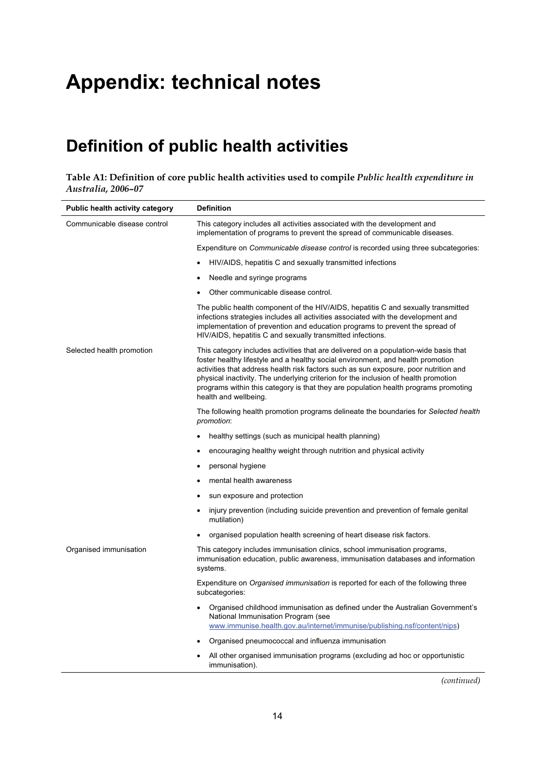## **Appendix: technical notes**

### **Definition of public health activities**

**Table A1: Definition of core public health activities used to compile** *Public health expenditure in Australia, 2006–07*

| <b>Public health activity category</b> | <b>Definition</b>                                                                                                                                                                                                                                                                                                                                                                                                                                                      |  |  |  |  |
|----------------------------------------|------------------------------------------------------------------------------------------------------------------------------------------------------------------------------------------------------------------------------------------------------------------------------------------------------------------------------------------------------------------------------------------------------------------------------------------------------------------------|--|--|--|--|
| Communicable disease control           | This category includes all activities associated with the development and<br>implementation of programs to prevent the spread of communicable diseases.                                                                                                                                                                                                                                                                                                                |  |  |  |  |
|                                        | Expenditure on <i>Communicable disease control</i> is recorded using three subcategories:                                                                                                                                                                                                                                                                                                                                                                              |  |  |  |  |
|                                        | HIV/AIDS, hepatitis C and sexually transmitted infections                                                                                                                                                                                                                                                                                                                                                                                                              |  |  |  |  |
|                                        | Needle and syringe programs                                                                                                                                                                                                                                                                                                                                                                                                                                            |  |  |  |  |
|                                        | Other communicable disease control.                                                                                                                                                                                                                                                                                                                                                                                                                                    |  |  |  |  |
|                                        | The public health component of the HIV/AIDS, hepatitis C and sexually transmitted<br>infections strategies includes all activities associated with the development and<br>implementation of prevention and education programs to prevent the spread of<br>HIV/AIDS, hepatitis C and sexually transmitted infections.                                                                                                                                                   |  |  |  |  |
| Selected health promotion              | This category includes activities that are delivered on a population-wide basis that<br>foster healthy lifestyle and a healthy social environment, and health promotion<br>activities that address health risk factors such as sun exposure, poor nutrition and<br>physical inactivity. The underlying criterion for the inclusion of health promotion<br>programs within this category is that they are population health programs promoting<br>health and wellbeing. |  |  |  |  |
|                                        | The following health promotion programs delineate the boundaries for Selected health<br>promotion:                                                                                                                                                                                                                                                                                                                                                                     |  |  |  |  |
|                                        | healthy settings (such as municipal health planning)<br>$\bullet$                                                                                                                                                                                                                                                                                                                                                                                                      |  |  |  |  |
|                                        | encouraging healthy weight through nutrition and physical activity                                                                                                                                                                                                                                                                                                                                                                                                     |  |  |  |  |
|                                        | personal hygiene                                                                                                                                                                                                                                                                                                                                                                                                                                                       |  |  |  |  |
|                                        | mental health awareness                                                                                                                                                                                                                                                                                                                                                                                                                                                |  |  |  |  |
|                                        | sun exposure and protection                                                                                                                                                                                                                                                                                                                                                                                                                                            |  |  |  |  |
|                                        | injury prevention (including suicide prevention and prevention of female genital<br>mutilation)                                                                                                                                                                                                                                                                                                                                                                        |  |  |  |  |
|                                        | organised population health screening of heart disease risk factors.                                                                                                                                                                                                                                                                                                                                                                                                   |  |  |  |  |
| Organised immunisation                 | This category includes immunisation clinics, school immunisation programs,<br>immunisation education, public awareness, immunisation databases and information<br>systems.                                                                                                                                                                                                                                                                                             |  |  |  |  |
|                                        | Expenditure on <i>Organised immunisation</i> is reported for each of the following three<br>subcategories:                                                                                                                                                                                                                                                                                                                                                             |  |  |  |  |
|                                        | Organised childhood immunisation as defined under the Australian Government's<br>$\bullet$<br>National Immunisation Program (see<br>www.immunise.health.gov.au/internet/immunise/publishing.nsf/content/nips)                                                                                                                                                                                                                                                          |  |  |  |  |
|                                        | Organised pneumococcal and influenza immunisation                                                                                                                                                                                                                                                                                                                                                                                                                      |  |  |  |  |
|                                        | All other organised immunisation programs (excluding ad hoc or opportunistic<br>immunisation).                                                                                                                                                                                                                                                                                                                                                                         |  |  |  |  |

*(continued)*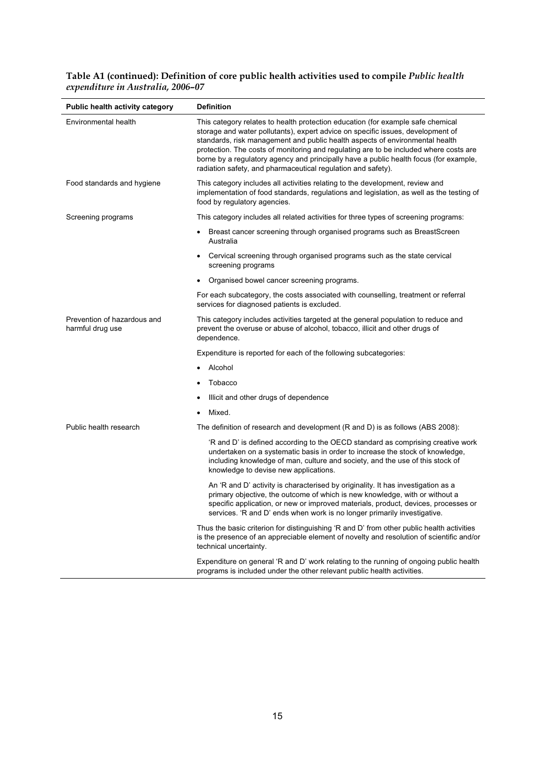#### **Table A1 (continued): Definition of core public health activities used to compile** *Public health expenditure in Australia, 2006–07*

| <b>Public health activity category</b>          | <b>Definition</b>                                                                                                                                                                                                                                                                                                                                                                                                                                                                                    |
|-------------------------------------------------|------------------------------------------------------------------------------------------------------------------------------------------------------------------------------------------------------------------------------------------------------------------------------------------------------------------------------------------------------------------------------------------------------------------------------------------------------------------------------------------------------|
| Environmental health                            | This category relates to health protection education (for example safe chemical<br>storage and water pollutants), expert advice on specific issues, development of<br>standards, risk management and public health aspects of environmental health<br>protection. The costs of monitoring and regulating are to be included where costs are<br>borne by a regulatory agency and principally have a public health focus (for example,<br>radiation safety, and pharmaceutical regulation and safety). |
| Food standards and hygiene                      | This category includes all activities relating to the development, review and<br>implementation of food standards, regulations and legislation, as well as the testing of<br>food by regulatory agencies.                                                                                                                                                                                                                                                                                            |
| Screening programs                              | This category includes all related activities for three types of screening programs:                                                                                                                                                                                                                                                                                                                                                                                                                 |
|                                                 | Breast cancer screening through organised programs such as BreastScreen<br>Australia                                                                                                                                                                                                                                                                                                                                                                                                                 |
|                                                 | Cervical screening through organised programs such as the state cervical<br>screening programs                                                                                                                                                                                                                                                                                                                                                                                                       |
|                                                 | Organised bowel cancer screening programs.                                                                                                                                                                                                                                                                                                                                                                                                                                                           |
|                                                 | For each subcategory, the costs associated with counselling, treatment or referral<br>services for diagnosed patients is excluded.                                                                                                                                                                                                                                                                                                                                                                   |
| Prevention of hazardous and<br>harmful drug use | This category includes activities targeted at the general population to reduce and<br>prevent the overuse or abuse of alcohol, tobacco, illicit and other drugs of<br>dependence.                                                                                                                                                                                                                                                                                                                    |
|                                                 | Expenditure is reported for each of the following subcategories:                                                                                                                                                                                                                                                                                                                                                                                                                                     |
|                                                 | Alcohol                                                                                                                                                                                                                                                                                                                                                                                                                                                                                              |
|                                                 | Tobacco                                                                                                                                                                                                                                                                                                                                                                                                                                                                                              |
|                                                 | Illicit and other drugs of dependence                                                                                                                                                                                                                                                                                                                                                                                                                                                                |
|                                                 | Mixed.                                                                                                                                                                                                                                                                                                                                                                                                                                                                                               |
| Public health research                          | The definition of research and development (R and D) is as follows (ABS 2008):                                                                                                                                                                                                                                                                                                                                                                                                                       |
|                                                 | 'R and D' is defined according to the OECD standard as comprising creative work<br>undertaken on a systematic basis in order to increase the stock of knowledge,<br>including knowledge of man, culture and society, and the use of this stock of<br>knowledge to devise new applications.                                                                                                                                                                                                           |
|                                                 | An 'R and D' activity is characterised by originality. It has investigation as a<br>primary objective, the outcome of which is new knowledge, with or without a<br>specific application, or new or improved materials, product, devices, processes or<br>services. 'R and D' ends when work is no longer primarily investigative.                                                                                                                                                                    |
|                                                 | Thus the basic criterion for distinguishing 'R and D' from other public health activities<br>is the presence of an appreciable element of novelty and resolution of scientific and/or<br>technical uncertainty.                                                                                                                                                                                                                                                                                      |
|                                                 | Expenditure on general 'R and D' work relating to the running of ongoing public health<br>programs is included under the other relevant public health activities.                                                                                                                                                                                                                                                                                                                                    |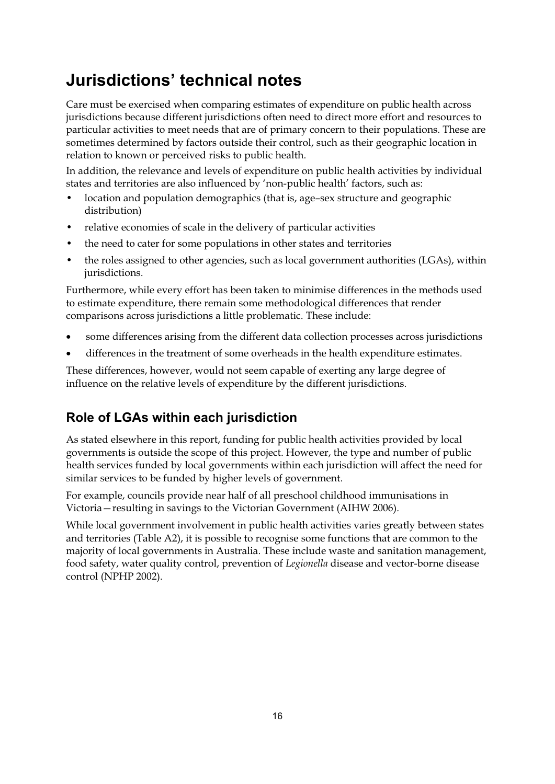## **Jurisdictions' technical notes**

Care must be exercised when comparing estimates of expenditure on public health across jurisdictions because different jurisdictions often need to direct more effort and resources to particular activities to meet needs that are of primary concern to their populations. These are sometimes determined by factors outside their control, such as their geographic location in relation to known or perceived risks to public health.

In addition, the relevance and levels of expenditure on public health activities by individual states and territories are also influenced by 'non-public health' factors, such as:

- location and population demographics (that is, age-sex structure and geographic distribution)
- relative economies of scale in the delivery of particular activities
- the need to cater for some populations in other states and territories
- the roles assigned to other agencies, such as local government authorities (LGAs), within jurisdictions.

Furthermore, while every effort has been taken to minimise differences in the methods used to estimate expenditure, there remain some methodological differences that render comparisons across jurisdictions a little problematic. These include:

- $\bullet$ some differences arising from the different data collection processes across jurisdictions
- $\bullet$ differences in the treatment of some overheads in the health expenditure estimates.

These differences, however, would not seem capable of exerting any large degree of influence on the relative levels of expenditure by the different jurisdictions.

### **Role of LGAs within each jurisdiction**

As stated elsewhere in this report, funding for public health activities provided by local governments is outside the scope of this project. However, the type and number of public health services funded by local governments within each jurisdiction will affect the need for similar services to be funded by higher levels of government.

For example, councils provide near half of all preschool childhood immunisations in Victoria—resulting in savings to the Victorian Government (AIHW 2006).

While local government involvement in public health activities varies greatly between states and territories (Table A2), it is possible to recognise some functions that are common to the majority of local governments in Australia. These include waste and sanitation management, food safety, water quality control, prevention of *Legionella* disease and vector-borne disease control (NPHP 2002).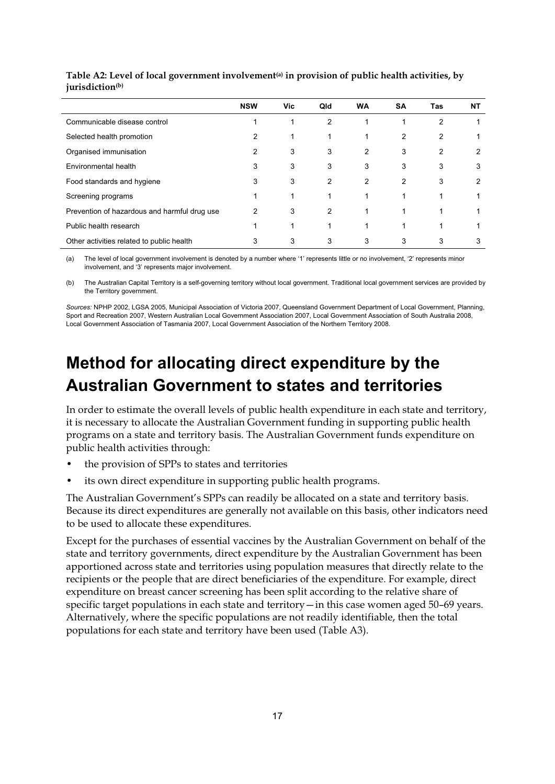|                                              | <b>NSW</b> | <b>Vic</b> | Qld | <b>WA</b> | <b>SA</b> | Tas | NT |
|----------------------------------------------|------------|------------|-----|-----------|-----------|-----|----|
| Communicable disease control                 |            |            | 2   |           |           | 2   |    |
| Selected health promotion                    | 2          |            |     |           | 2         | 2   |    |
| Organised immunisation                       | 2          | 3          | 3   | 2         | 3         | 2   | 2  |
| Environmental health                         | 3          | 3          | 3   | 3         | 3         | 3   | 3  |
| Food standards and hygiene                   | 3          | 3          | 2   | 2         | 2         | 3   | 2  |
| Screening programs                           |            |            |     |           |           |     |    |
| Prevention of hazardous and harmful drug use | 2          | 3          | 2   |           |           |     |    |
| Public health research                       |            |            |     |           |           |     |    |
| Other activities related to public health    | 3          | 3          | 3   | 3         | 3         | 3   | 3  |

Table A2: Level of local government involvement<sup>(a)</sup> in provision of public health activities, by **jurisdiction(b)**

(a) The level of local government involvement is denoted by a number where '1' represents little or no involvement, '2' represents minor involvement, and '3' represents major involvement.

(b) The Australian Capital Territory is a self-governing territory without local government. Traditional local government services are provided by the Territory government.

*Sources:* NPHP 2002, LGSA 2005, Municipal Association of Victoria 2007, Queensland Government Department of Local Government, Planning, Sport and Recreation 2007, Western Australian Local Government Association 2007, Local Government Association of South Australia 2008, Local Government Association of Tasmania 2007, Local Government Association of the Northern Territory 2008.

## **Method for allocating direct expenditure by the Australian Government to states and territories**

In order to estimate the overall levels of public health expenditure in each state and territory, it is necessary to allocate the Australian Government funding in supporting public health programs on a state and territory basis. The Australian Government funds expenditure on public health activities through:

- the provision of SPPs to states and territories
- its own direct expenditure in supporting public health programs.

The Australian Government's SPPs can readily be allocated on a state and territory basis. Because its direct expenditures are generally not available on this basis, other indicators need to be used to allocate these expenditures.

Except for the purchases of essential vaccines by the Australian Government on behalf of the state and territory governments, direct expenditure by the Australian Government has been apportioned across state and territories using population measures that directly relate to the recipients or the people that are direct beneficiaries of the expenditure. For example, direct expenditure on breast cancer screening has been split according to the relative share of specific target populations in each state and territory—in this case women aged 50–69 years. Alternatively, where the specific populations are not readily identifiable, then the total populations for each state and territory have been used (Table A3).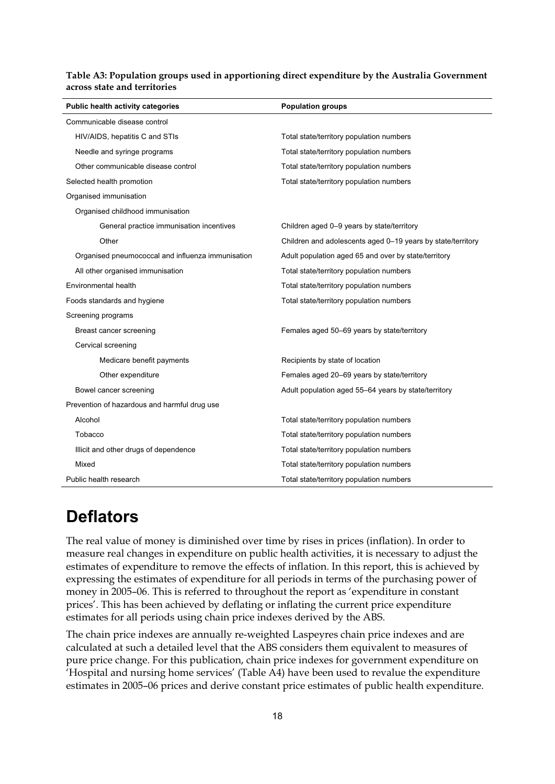| Table A3: Population groups used in apportioning direct expenditure by the Australia Government |  |  |  |
|-------------------------------------------------------------------------------------------------|--|--|--|
| across state and territories                                                                    |  |  |  |

| Public health activity categories                 | <b>Population groups</b>                                    |
|---------------------------------------------------|-------------------------------------------------------------|
| Communicable disease control                      |                                                             |
| HIV/AIDS, hepatitis C and STIs                    | Total state/territory population numbers                    |
| Needle and syringe programs                       | Total state/territory population numbers                    |
| Other communicable disease control                | Total state/territory population numbers                    |
| Selected health promotion                         | Total state/territory population numbers                    |
| Organised immunisation                            |                                                             |
| Organised childhood immunisation                  |                                                             |
| General practice immunisation incentives          | Children aged 0-9 years by state/territory                  |
| Other                                             | Children and adolescents aged 0-19 years by state/territory |
| Organised pneumococcal and influenza immunisation | Adult population aged 65 and over by state/territory        |
| All other organised immunisation                  | Total state/territory population numbers                    |
| Environmental health                              | Total state/territory population numbers                    |
| Foods standards and hygiene                       | Total state/territory population numbers                    |
| Screening programs                                |                                                             |
| Breast cancer screening                           | Females aged 50–69 years by state/territory                 |
| Cervical screening                                |                                                             |
| Medicare benefit payments                         | Recipients by state of location                             |
| Other expenditure                                 | Females aged 20-69 years by state/territory                 |
| Bowel cancer screening                            | Adult population aged 55-64 years by state/territory        |
| Prevention of hazardous and harmful drug use      |                                                             |
| Alcohol                                           | Total state/territory population numbers                    |
| Tobacco                                           | Total state/territory population numbers                    |
| Illicit and other drugs of dependence             | Total state/territory population numbers                    |
| Mixed                                             | Total state/territory population numbers                    |
| Public health research                            | Total state/territory population numbers                    |

### **Deflators**

The real value of money is diminished over time by rises in prices (inflation). In order to measure real changes in expenditure on public health activities, it is necessary to adjust the estimates of expenditure to remove the effects of inflation. In this report, this is achieved by expressing the estimates of expenditure for all periods in terms of the purchasing power of money in 2005–06. This is referred to throughout the report as 'expenditure in constant prices'. This has been achieved by deflating or inflating the current price expenditure estimates for all periods using chain price indexes derived by the ABS.

The chain price indexes are annually re-weighted Laspeyres chain price indexes and are calculated at such a detailed level that the ABS considers them equivalent to measures of pure price change. For this publication, chain price indexes for government expenditure on 'Hospital and nursing home services' (Table A4) have been used to revalue the expenditure estimates in 2005–06 prices and derive constant price estimates of public health expenditure.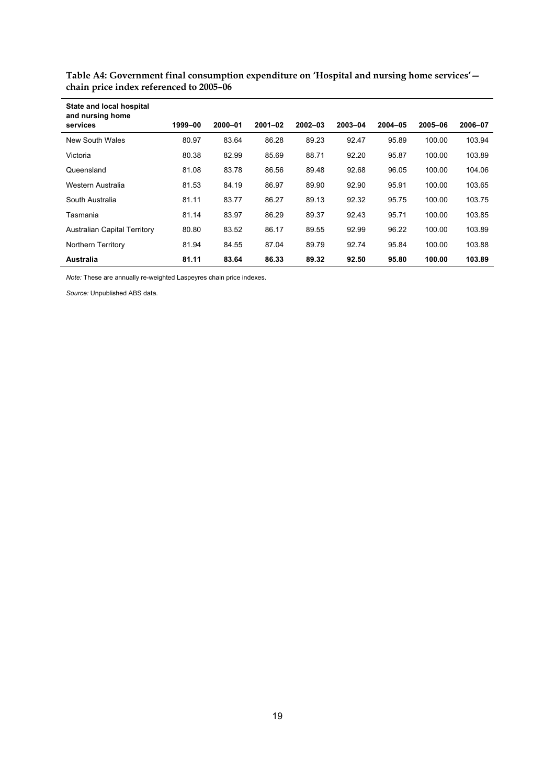| State and local hospital<br>and nursing home |         |             |             |             |         |             |         |         |
|----------------------------------------------|---------|-------------|-------------|-------------|---------|-------------|---------|---------|
| services                                     | 1999-00 | $2000 - 01$ | $2001 - 02$ | $2002 - 03$ | 2003-04 | $2004 - 05$ | 2005-06 | 2006-07 |
| New South Wales                              | 80.97   | 83.64       | 86.28       | 89.23       | 92.47   | 95.89       | 100.00  | 103.94  |
| Victoria                                     | 80.38   | 82.99       | 85.69       | 88.71       | 92.20   | 95.87       | 100.00  | 103.89  |
| Queensland                                   | 81.08   | 83.78       | 86.56       | 89.48       | 92.68   | 96.05       | 100.00  | 104.06  |
| Western Australia                            | 81.53   | 84.19       | 86.97       | 89.90       | 92.90   | 95.91       | 100.00  | 103.65  |
| South Australia                              | 81.11   | 83.77       | 86.27       | 89.13       | 92.32   | 95.75       | 100.00  | 103.75  |
| Tasmania                                     | 81.14   | 83.97       | 86.29       | 89.37       | 92.43   | 95.71       | 100.00  | 103.85  |
| <b>Australian Capital Territory</b>          | 80.80   | 83.52       | 86.17       | 89.55       | 92.99   | 96.22       | 100.00  | 103.89  |
| <b>Northern Territory</b>                    | 81.94   | 84.55       | 87.04       | 89.79       | 92.74   | 95.84       | 100.00  | 103.88  |
| Australia                                    | 81.11   | 83.64       | 86.33       | 89.32       | 92.50   | 95.80       | 100.00  | 103.89  |

**Table A4: Government final consumption expenditure on 'Hospital and nursing home services' chain price index referenced to 2005–06** 

*Note:* These are annually re-weighted Laspeyres chain price indexes.

*Source:* Unpublished ABS data.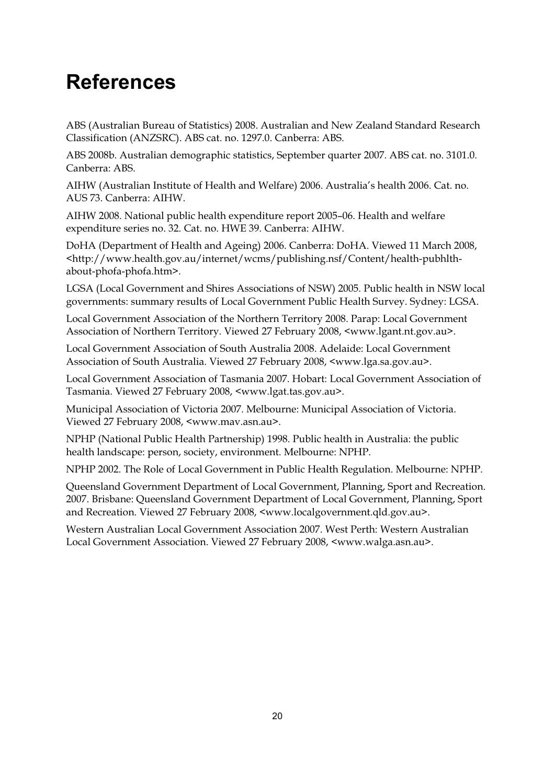## **References**

ABS (Australian Bureau of Statistics) 2008. Australian and New Zealand Standard Research Classification (ANZSRC). ABS cat. no. 1297.0. Canberra: ABS.

ABS 2008b. Australian demographic statistics, September quarter 2007. ABS cat. no. 3101.0. Canberra: ABS.

AIHW (Australian Institute of Health and Welfare) 2006. Australia's health 2006. Cat. no. AUS 73. Canberra: AIHW.

AIHW 2008. National public health expenditure report 2005–06. Health and welfare expenditure series no. 32. Cat. no. HWE 39. Canberra: AIHW.

DoHA (Department of Health and Ageing) 2006. Canberra: DoHA. Viewed 11 March 2008, <http://www.health.gov.au/internet/wcms/publishing.nsf/Content/health-pubhlthabout-phofa-phofa.htm>.

LGSA (Local Government and Shires Associations of NSW) 2005. Public health in NSW local governments: summary results of Local Government Public Health Survey. Sydney: LGSA.

Local Government Association of the Northern Territory 2008. Parap: Local Government Association of Northern Territory. Viewed 27 February 2008, <www.lgant.nt.gov.au>.

Local Government Association of South Australia 2008. Adelaide: Local Government Association of South Australia. Viewed 27 February 2008, <www.lga.sa.gov.au>.

Local Government Association of Tasmania 2007. Hobart: Local Government Association of Tasmania. Viewed 27 February 2008, <www.lgat.tas.gov.au>.

Municipal Association of Victoria 2007. Melbourne: Municipal Association of Victoria. Viewed 27 February 2008, <www.mav.asn.au>.

NPHP (National Public Health Partnership) 1998. Public health in Australia: the public health landscape: person, society, environment. Melbourne: NPHP.

NPHP 2002. The Role of Local Government in Public Health Regulation. Melbourne: NPHP.

Queensland Government Department of Local Government, Planning, Sport and Recreation. 2007. Brisbane: Queensland Government Department of Local Government, Planning, Sport and Recreation. Viewed 27 February 2008, <www.localgovernment.qld.gov.au>.

Western Australian Local Government Association 2007. West Perth: Western Australian Local Government Association. Viewed 27 February 2008, <www.walga.asn.au>.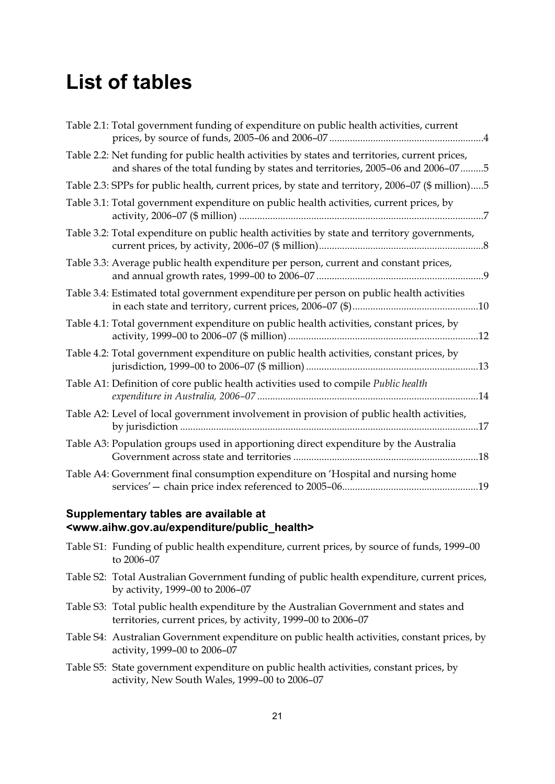## **List of tables**

| Table 2.1: Total government funding of expenditure on public health activities, current                                                                                           |  |
|-----------------------------------------------------------------------------------------------------------------------------------------------------------------------------------|--|
| Table 2.2: Net funding for public health activities by states and territories, current prices,<br>and shares of the total funding by states and territories, 2005-06 and 2006-075 |  |
| Table 2.3: SPPs for public health, current prices, by state and territory, 2006-07 (\$ million)5                                                                                  |  |
| Table 3.1: Total government expenditure on public health activities, current prices, by                                                                                           |  |
| Table 3.2: Total expenditure on public health activities by state and territory governments,                                                                                      |  |
| Table 3.3: Average public health expenditure per person, current and constant prices,                                                                                             |  |
| Table 3.4: Estimated total government expenditure per person on public health activities                                                                                          |  |
| Table 4.1: Total government expenditure on public health activities, constant prices, by                                                                                          |  |
| Table 4.2: Total government expenditure on public health activities, constant prices, by                                                                                          |  |
| Table A1: Definition of core public health activities used to compile Public health                                                                                               |  |
| Table A2: Level of local government involvement in provision of public health activities,                                                                                         |  |
| Table A3: Population groups used in apportioning direct expenditure by the Australia                                                                                              |  |
| Table A4: Government final consumption expenditure on 'Hospital and nursing home                                                                                                  |  |

#### **Supplementary tables are available at <www.aihw.gov.au/expenditure/public\_health>**

Table S1: Funding of public health expenditure, current prices, by source of funds, 1999–00 to 2006–07 Table S2: Total Australian Government funding of public health expenditure, current prices, by activity, 1999–00 to 2006–07 Table S3: Total public health expenditure by the Australian Government and states and territories, current prices, by activity, 1999–00 to 2006–07 Table S4: Australian Government expenditure on public health activities, constant prices, by activity, 1999–00 to 2006–07 Table S5: State government expenditure on public health activities, constant prices, by activity, New South Wales, 1999–00 to 2006–07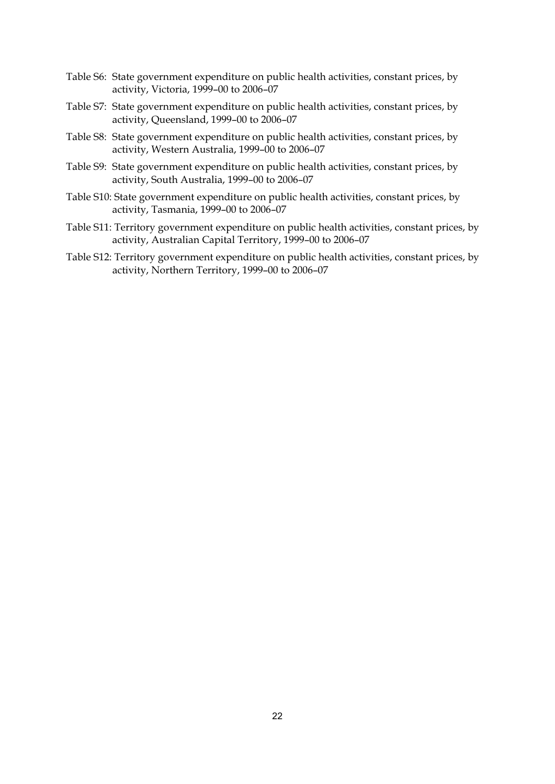- Table S6: State government expenditure on public health activities, constant prices, by activity, Victoria, 1999–00 to 2006–07
- Table S7: State government expenditure on public health activities, constant prices, by activity, Queensland, 1999–00 to 2006–07
- Table S8: State government expenditure on public health activities, constant prices, by activity, Western Australia, 1999–00 to 2006–07
- Table S9: State government expenditure on public health activities, constant prices, by activity, South Australia, 1999–00 to 2006–07
- Table S10: State government expenditure on public health activities, constant prices, by activity, Tasmania, 1999–00 to 2006–07
- Table S11: Territory government expenditure on public health activities, constant prices, by activity, Australian Capital Territory, 1999–00 to 2006–07
- Table S12: Territory government expenditure on public health activities, constant prices, by activity, Northern Territory, 1999–00 to 2006–07